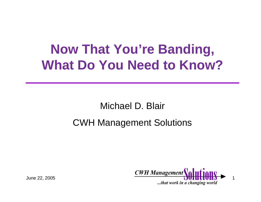### **Now That You're Banding, What Do You Need to Know?**

Michael D. Blair

#### CWH Management Solutions

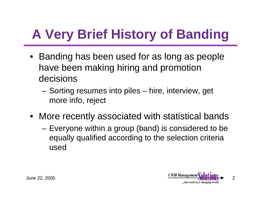# **A Very Brief History of Banding**

- • Banding has been used for as long as people have been making hiring and promotion decisions
	- and the state of the Sorting resumes into piles – hire, interview, get more info, reject
- More recently associated with statistical bands
	- – Everyone within a group (band) is considered to be equally qualified according to the selection criteria used

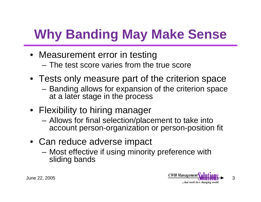### **Why Banding May Make Sense**

- Measurement error in testing – The test score varies from the true score
- Tests only measure part of the criterion space
	- **Links of the Company**  Banding allows for expansion of the criterion space at a later stage in the process
- Flexibility to hiring manager
	- – Allows for final selection/placement to take into account person-organization or person-position fit
- Can reduce adverse impact
	- and the state of the Most effective if using minority preference with sliding bands

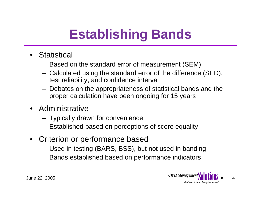### **Establishing Bands**

- Statistical
	- Based on the standard error of measurement (SEM)
	- Calculated using the standard error of the difference (SED), test reliability, and confidence interval
	- Debates on the appropriateness of statistical bands and the proper calculation have been ongoing for 15 years
- Administrative
	- Typically drawn for convenience
	- Established based on perceptions of score equality
- Criterion or performance based
	- Used in testing (BARS, BSS), but not used in banding
	- Bands established based on performance indicators

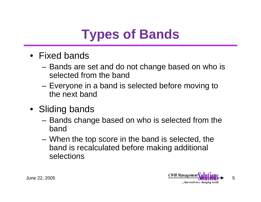### **Types of Bands**

- Fixed bands
	- – Bands are set and do not change based on who is selected from the band
	- **Links of the Company**  Everyone in a band is selected before moving to the next band
- Sliding bands
	- **Links of the Company**  Bands change based on who is selected from the band
	- and the state of the When the top score in the band is selected, the band is recalculated before making additional selections

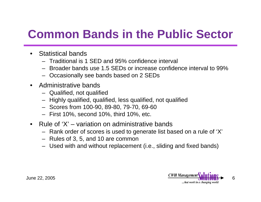### **Common Bands in the Public Sector**

- • Statistical bands
	- Traditional is 1 SED and 95% confidence interval
	- Broader bands use 1.5 SEDs or increase confidence interval to 99%
	- Occasionally see bands based on 2 SEDs
- Administrative bands
	- Qualified, not qualified
	- Highly qualified, qualified, less qualified, not qualified
	- Scores from 100-90, 89-80, 79-70, 69-60
	- First 10%, second 10%, third 10%, etc.
- • Rule of 'X' – variation on administrative bands
	- Rank order of scores is used to generate list based on a rule of 'X'
	- Rules of 3, 5, and 10 are common
	- Used with and without replacement (i.e., sliding and fixed bands)

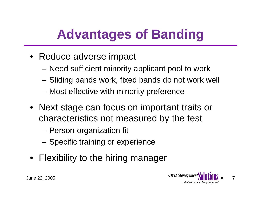### **Advantages of Banding**

- Reduce adverse impact
	- **Links of the Company** Need sufficient minority applicant pool to work
	- **Links of the Company** Sliding bands work, fixed bands do not work well
	- **Links of the Company** Most effective with minority preference
- Next stage can focus on important traits or characteristics not measured by the test
	- and the state of the Person-organization fit
	- and the state of the Specific training or experience
- Flexibility to the hiring manager

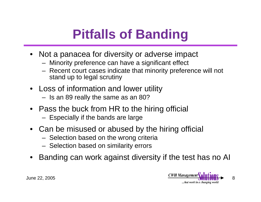## **Pitfalls of Banding**

- Not a panacea for diversity or adverse impact
	- Minority preference can have a significant effect
	- Recent court cases indicate that minority preference will not stand up to legal scrutiny
- Loss of information and lower utility
	- Is an 89 really the same as an 80?
- Pass the buck from HR to the hiring official
	- Especially if the bands are large
- Can be misused or abused by the hiring official
	- Selection based on the wrong criteria
	- Selection based on similarity errors
- •Banding can work against diversity if the test has no AI

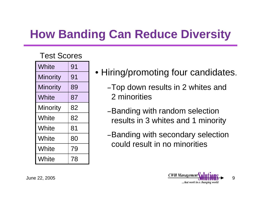### **How Banding Can Reduce Diversity**

#### Test Scores

| White           | 91 |
|-----------------|----|
| <b>Minority</b> | 91 |
| <b>Minority</b> | 89 |
| White           | 87 |
| <b>Minority</b> | 82 |
| White           | 82 |
| White           | 81 |
| White           | 80 |
| White           | 79 |
| White           | 78 |

- Hiring/promoting four candidates.
	- –Top down results in 2 whites and 2 minorities
	- –Banding with random selection results in 3 whites and 1 minority
	- –Banding with secondary selection could result in no minorities

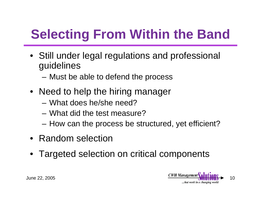# **Selecting From Within the Band**

- Still under legal regulations and professional guidelines
	- and the state of the Must be able to defend the process
- Need to help the hiring manager
	- What does he/she need?
	- What did the test measure?
	- **Links of the Company** How can the process be structured, yet efficient?
- Random selection
- Targeted selection on critical components

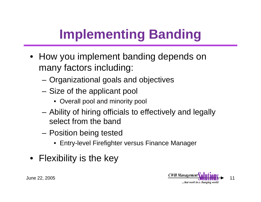# **Implementing Banding**

- How you implement banding depends on many factors including:
	- –Organizational goals and objectives
	- – Size of the applicant pool
		- Overall pool and minority pool
	- and the state of the Ability of hiring officials to effectively and legally select from the band
	- **Links of the Company**  Position being tested
		- Entry-level Firefighter versus Finance Manager
- Flexibility is the key

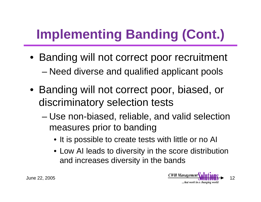# **Implementing Banding (Cont.)**

- Banding will not correct poor recruitment –Need diverse and qualified applicant pools
- Banding will not correct poor, biased, or discriminatory selection tests
	- and the state of the state Use non-biased, reliable, and valid selection measures prior to banding
		- It is possible to create tests with little or no AI
		- Low AI leads to diversity in the score distribution and increases diversity in the bands

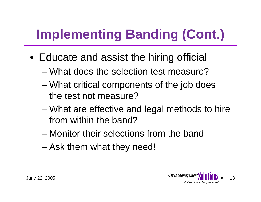# **Implementing Banding (Cont.)**

- Educate and assist the hiring official
	- What does the selection test measure?
	- and the state of the state What critical components of the job does the test not measure?
	- – What are effective and legal methods to hire from within the band?
	- Monitor their selections from the band
	- –Ask them what they need!

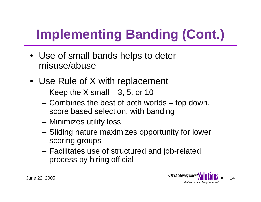# **Implementing Banding (Cont.)**

- Use of small bands helps to deter misuse/abuse
- Use Rule of X with replacement
	- **Links of the Company** Keep the X small – 3, 5, or 10
	- and the state of the Combines the best of both worlds – top down, score based selection, with banding
	- –Minimizes utility loss
	- **Links of the Company**  Sliding nature maximizes opportunity for lower scoring groups
	- and the state of the Facilitates use of structured and job-related process by hiring official

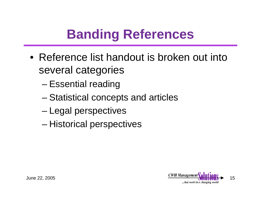### **Banding References**

- Reference list handout is broken out into several categories
	- and the state of the state Essential reading
	- –Statistical concepts and articles
	- and the state of the state Legal perspectives
	- and the state of the state Historical perspectives